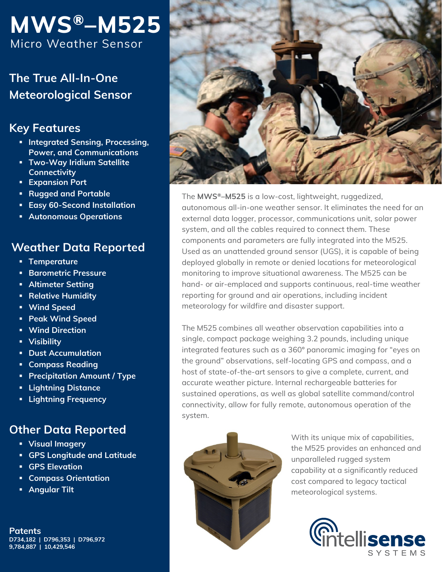# **MWS®–M525** Micro Weather Sensor

**The True All-In-One Meteorological Sensor**

## **Key Features**

- **Integrated Sensing, Processing, Power, and Communications**
- **Two-Way Iridium Satellite Connectivity**
- **Expansion Port**
- **Rugged and Portable**
- **Easy 60-Second Installation**
- **Autonomous Operations**

### **Weather Data Reported**

- **Temperature**
- **Barometric Pressure**
- **Altimeter Setting**
- **Relative Humidity**
- **Wind Speed**
- **Peak Wind Speed**
- **Wind Direction**
- **Visibility**
- **Product Accumulation**
- **E** Compass Reading
- **Precipitation Amount / Type**
- **Lightning Distance**
- **Lightning Frequency**

# **Other Data Reported**

- **Visual Imagery**
- **GPS Longitude and Latitude**
- **GPS Elevation**
- **Compass Orientation**
- **Angular Tilt**

**Patents D734,182 | D796,353 | D796,972 9,784,887 | 10,429,546**



The **MWS®–M525** is a low-cost, lightweight, ruggedized, autonomous all-in-one weather sensor. It eliminates the need for an external data logger, processor, communications unit, solar power system, and all the cables required to connect them. These components and parameters are fully integrated into the M525. Used as an unattended ground sensor (UGS), it is capable of being deployed globally in remote or denied locations for meteorological monitoring to improve situational awareness. The M525 can be hand- or air-emplaced and supports continuous, real-time weather reporting for ground and air operations, including incident meteorology for wildfire and disaster support.

The M525 combines all weather observation capabilities into a single, compact package weighing 3.2 pounds, including unique integrated features such as a 360º panoramic imaging for "eyes on the ground" observations, self-locating GPS and compass, and a host of state-of-the-art sensors to give a complete, current, and accurate weather picture. Internal rechargeable batteries for sustained operations, as well as global satellite command/control connectivity, allow for fully remote, autonomous operation of the system.



With its unique mix of capabilities, the M525 provides an enhanced and unparalleled rugged system capability at a significantly reduced cost compared to legacy tactical meteorological systems.

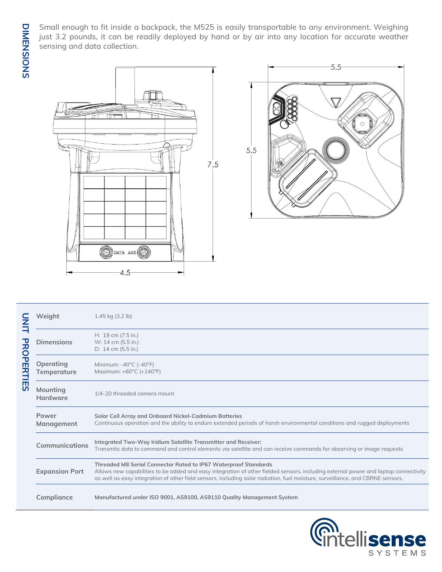Small enough to fit inside a backpack, the M525 is easily transportable to any environment. Weighing just 3.2 pounds, it can be readily deployed by hand or by air into any location for accurate weather sensing and data collection.





| N<br>H                               | Weight                   | $1.45$ kg $(3.2$ lb)                                                                                                                                                                                                                                                                                                                     |
|--------------------------------------|--------------------------|------------------------------------------------------------------------------------------------------------------------------------------------------------------------------------------------------------------------------------------------------------------------------------------------------------------------------------------|
| 곥<br>OPEI<br><b>RTIE</b><br><b>S</b> | <b>Dimensions</b>        | H: 19 cm (7.5 in.)<br>W: 14 cm (5.5 in.)<br>D: 14 cm (5.5 in.)                                                                                                                                                                                                                                                                           |
|                                      | Operating<br>Temperature | Minimum: -40°C (-40°F)<br>Maximum: +60°C (+140°F)                                                                                                                                                                                                                                                                                        |
|                                      | Mounting<br>Hardware     | 1/4-20 threaded camera mount                                                                                                                                                                                                                                                                                                             |
|                                      | Power<br>Management      | Solar Cell Array and Onboard Nickel-Cadmium Batteries<br>Continuous operation and the ability to endure extended periods of harsh environmental conditions and rugged deployments                                                                                                                                                        |
|                                      | <b>Communications</b>    | Integrated Two-Way Iridium Satellite Transmitter and Receiver:<br>Transmits data to command and control elements via satellite and can receive commands for observing or image requests                                                                                                                                                  |
|                                      | <b>Expansion Port</b>    | Threaded M8 Serial Connector Rated to IP67 Waterproof Standards<br>Allows new capabilities to be added and easy integration of other fielded sensors, including external power and laptop connectivity<br>as well as easy integration of other field sensors, including solar radiation, fuel moisture, surveillance, and CBRNE sensors. |
|                                      | Compliance               | Manufactured under ISO 9001, AS9100, AS9110 Quality Management System                                                                                                                                                                                                                                                                    |

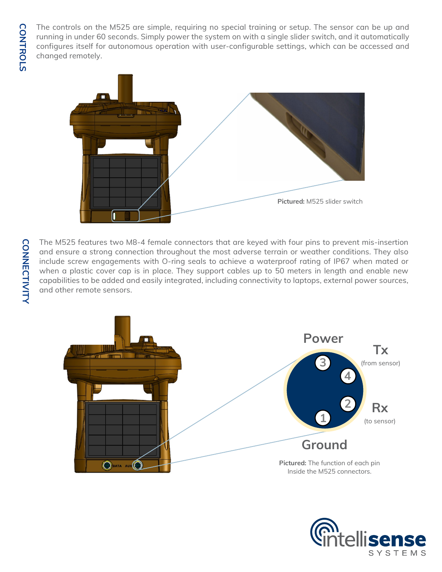The controls on the M525 are simple, requiring no special training or setup. The sensor can be up and running in under 60 seconds. Simply power the system on with a single slider switch, and it automatically configures itself for autonomous operation with user-configurable settings, which can be accessed and changed remotely.



The M525 features two M8-4 female connectors that are keyed with four pins to prevent mis-insertion and ensure a strong connection throughout the most adverse terrain or weather conditions. They also include screw engagements with O-ring seals to achieve a waterproof rating of IP67 when mated or when a plastic cover cap is in place. They support cables up to 50 meters in length and enable new capabilities to be added and easily integrated, including connectivity to laptops, external power sources, and other remote sensors.